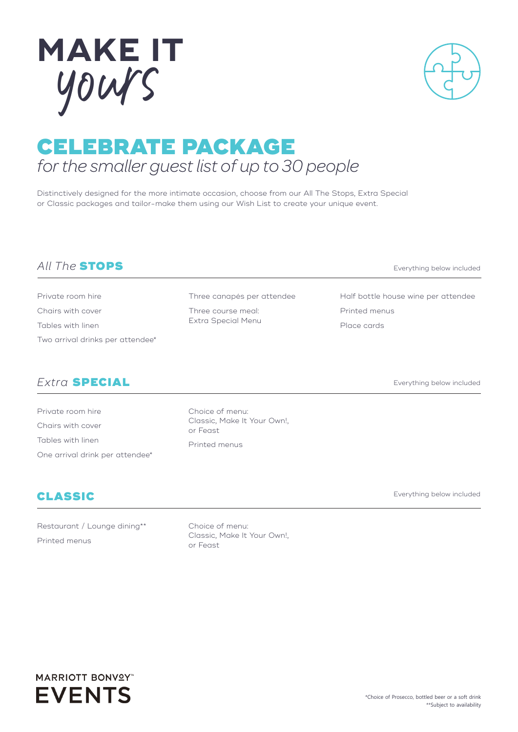# CELEBRATE PACKAGE *for the smaller guest list of up to 30 people*

Distinctively designed for the more intimate occasion, choose from our All The Stops, Extra Special or Classic packages and tailor-make them using our Wish List to create your unique event.

## *All The* STOPS

Private room hire Chairs with cover Tables with linen Two arrival drinks per attendee\*

## *Extra* SPECIAL

Private room hire Chairs with cover Tables with linen One arrival drink per attendee\*

Restaurant / Lounge dining\*\*

CLASSIC

Printed menus

Choice of menu: Classic, Make It Your Own!, or Feast



Three canapés per attendee

Three course meal: Extra Special Menu

Choice of menu:

Everything below included

Half bottle house wine per attendee Printed menus Place cards

Everything below included

Everything below included





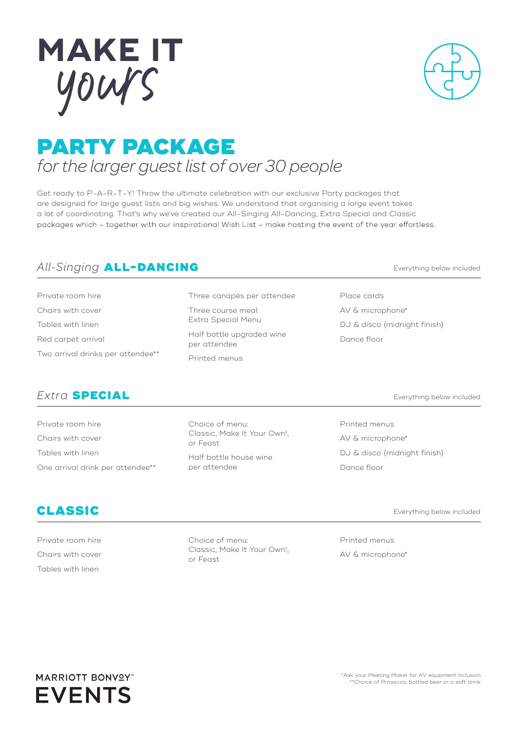

# PARTY PACKAGE *for the larger guest list of over 30 people*

Get ready to P-A-R-T-Y! Throw the ultimate celebration with our exclusive Party packages that are designed for large guest lists and big wishes. We understand that organising a large event takes a lot of coordinating. That's why we've created our All-Singing All-Dancing, Extra Special and Classic packages which - together with our inspirational Wish List - make hosting the event of the year effortless.

## *All-Singing*

Private room hire Chairs with cover Tables with linen Red carpet arrival Two arrival drinks per attendee\*\*

#### *Extra* SPECIAL

Private room hire Chairs with cover Tables with linen One arrival drink per attendee\*\* Choice of menu: Classic, Make It Your Own!, or Feast Half bottle house wine per attendee

Printed menus AV & microphone\* DJ & disco (midnight finish) Dance floor

#### CLASSIC

Private room hire Chairs with cover Tables with linen

Choice of menu: Classic, Make It Your Own!, or Feast

Everything below included

Printed menus AV & microphone\*

Everything below included

Everything below included

Place cards AV & microphone\* DJ & disco (midnight finish) Dance floor

Three canapés per attendee

Half bottle upgraded wine

Three course meal: Extra Special Menu

per attendee Printed menus

# yours **MAKE IT**